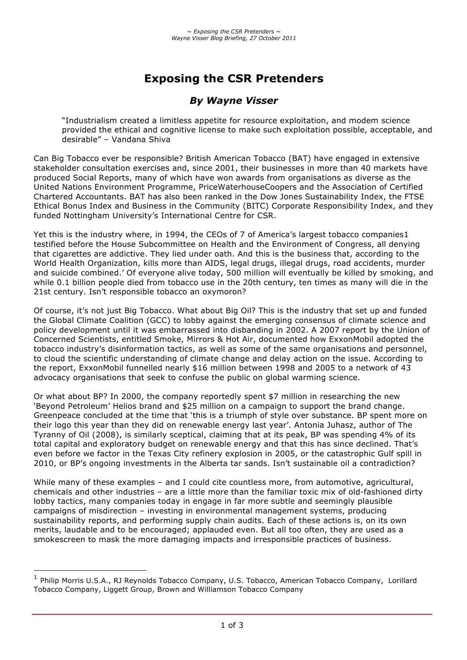# **Exposing the CSR Pretenders**

## *By Wayne Visser*

"Industrialism created a limitless appetite for resource exploitation, and modem science provided the ethical and cognitive license to make such exploitation possible, acceptable, and desirable" – Vandana Shiva

Can Big Tobacco ever be responsible? British American Tobacco (BAT) have engaged in extensive stakeholder consultation exercises and, since 2001, their businesses in more than 40 markets have produced Social Reports, many of which have won awards from organisations as diverse as the United Nations Environment Programme, PriceWaterhouseCoopers and the Association of Certified Chartered Accountants. BAT has also been ranked in the Dow Jones Sustainability Index, the FTSE Ethical Bonus Index and Business in the Community (BITC) Corporate Responsibility Index, and they funded Nottingham University's International Centre for CSR.

Yet this is the industry where, in 1994, the CEOs of 7 of America's largest tobacco companies1 testified before the House Subcommittee on Health and the Environment of Congress, all denying that cigarettes are addictive. They lied under oath. And this is the business that, according to the World Health Organization, kills more than AIDS, legal drugs, illegal drugs, road accidents, murder and suicide combined.' Of everyone alive today, 500 million will eventually be killed by smoking, and while 0.1 billion people died from tobacco use in the 20th century, ten times as many will die in the 21st century. Isn't responsible tobacco an oxymoron?

Of course, it's not just Big Tobacco. What about Big Oil? This is the industry that set up and funded the Global Climate Coalition (GCC) to lobby against the emerging consensus of climate science and policy development until it was embarrassed into disbanding in 2002. A 2007 report by the Union of Concerned Scientists, entitled Smoke, Mirrors & Hot Air, documented how ExxonMobil adopted the tobacco industry's disinformation tactics, as well as some of the same organisations and personnel, to cloud the scientific understanding of climate change and delay action on the issue. According to the report, ExxonMobil funnelled nearly \$16 million between 1998 and 2005 to a network of 43 advocacy organisations that seek to confuse the public on global warming science.

Or what about BP? In 2000, the company reportedly spent \$7 million in researching the new 'Beyond Petroleum' Helios brand and \$25 million on a campaign to support the brand change. Greenpeace concluded at the time that 'this is a triumph of style over substance. BP spent more on their logo this year than they did on renewable energy last year'. Antonia Juhasz, author of The Tyranny of Oil (2008), is similarly sceptical, claiming that at its peak, BP was spending 4% of its total capital and exploratory budget on renewable energy and that this has since declined. That's even before we factor in the Texas City refinery explosion in 2005, or the catastrophic Gulf spill in 2010, or BP's ongoing investments in the Alberta tar sands. Isn't sustainable oil a contradiction?

While many of these examples - and I could cite countless more, from automotive, agricultural, chemicals and other industries – are a little more than the familiar toxic mix of old-fashioned dirty lobby tactics, many companies today in engage in far more subtle and seemingly plausible campaigns of misdirection – investing in environmental management systems, producing sustainability reports, and performing supply chain audits. Each of these actions is, on its own merits, laudable and to be encouraged; applauded even. But all too often, they are used as a smokescreen to mask the more damaging impacts and irresponsible practices of business.

 $\overline{a}$ 

<sup>&</sup>lt;sup>1</sup> Philip Morris U.S.A., RJ Reynolds Tobacco Company, U.S. Tobacco, American Tobacco Company, Lorillard Tobacco Company, Liggett Group, Brown and Williamson Tobacco Company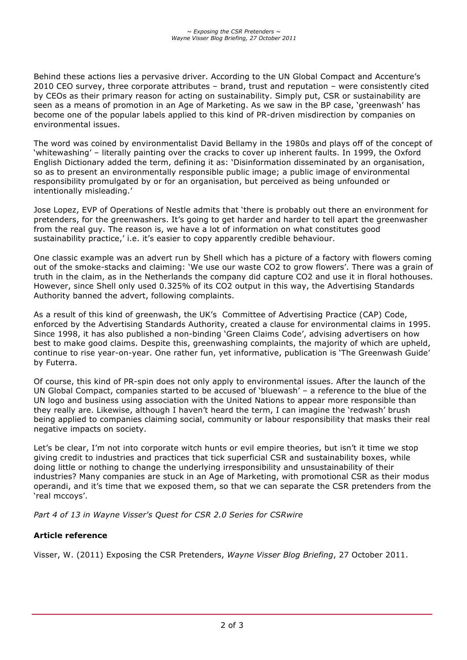Behind these actions lies a pervasive driver. According to the UN Global Compact and Accenture's 2010 CEO survey, three corporate attributes – brand, trust and reputation – were consistently cited by CEOs as their primary reason for acting on sustainability. Simply put, CSR or sustainability are seen as a means of promotion in an Age of Marketing. As we saw in the BP case, 'greenwash' has become one of the popular labels applied to this kind of PR-driven misdirection by companies on environmental issues.

The word was coined by environmentalist David Bellamy in the 1980s and plays off of the concept of 'whitewashing' – literally painting over the cracks to cover up inherent faults. In 1999, the Oxford English Dictionary added the term, defining it as: 'Disinformation disseminated by an organisation, so as to present an environmentally responsible public image; a public image of environmental responsibility promulgated by or for an organisation, but perceived as being unfounded or intentionally misleading.'

Jose Lopez, EVP of Operations of Nestle admits that 'there is probably out there an environment for pretenders, for the greenwashers. It's going to get harder and harder to tell apart the greenwasher from the real guy. The reason is, we have a lot of information on what constitutes good sustainability practice,' i.e. it's easier to copy apparently credible behaviour.

One classic example was an advert run by Shell which has a picture of a factory with flowers coming out of the smoke-stacks and claiming: 'We use our waste CO2 to grow flowers'. There was a grain of truth in the claim, as in the Netherlands the company did capture CO2 and use it in floral hothouses. However, since Shell only used 0.325% of its CO2 output in this way, the Advertising Standards Authority banned the advert, following complaints.

As a result of this kind of greenwash, the UK's Committee of Advertising Practice (CAP) Code, enforced by the Advertising Standards Authority, created a clause for environmental claims in 1995. Since 1998, it has also published a non-binding 'Green Claims Code', advising advertisers on how best to make good claims. Despite this, greenwashing complaints, the majority of which are upheld, continue to rise year-on-year. One rather fun, yet informative, publication is 'The Greenwash Guide' by Futerra.

Of course, this kind of PR-spin does not only apply to environmental issues. After the launch of the UN Global Compact, companies started to be accused of 'bluewash' – a reference to the blue of the UN logo and business using association with the United Nations to appear more responsible than they really are. Likewise, although I haven't heard the term, I can imagine the 'redwash' brush being applied to companies claiming social, community or labour responsibility that masks their real negative impacts on society.

Let's be clear, I'm not into corporate witch hunts or evil empire theories, but isn't it time we stop giving credit to industries and practices that tick superficial CSR and sustainability boxes, while doing little or nothing to change the underlying irresponsibility and unsustainability of their industries? Many companies are stuck in an Age of Marketing, with promotional CSR as their modus operandi, and it's time that we exposed them, so that we can separate the CSR pretenders from the 'real mccoys'.

*Part 4 of 13 in Wayne Visser's Quest for CSR 2.0 Series for CSRwire*

## **Article reference**

Visser, W. (2011) Exposing the CSR Pretenders, *Wayne Visser Blog Briefing*, 27 October 2011.